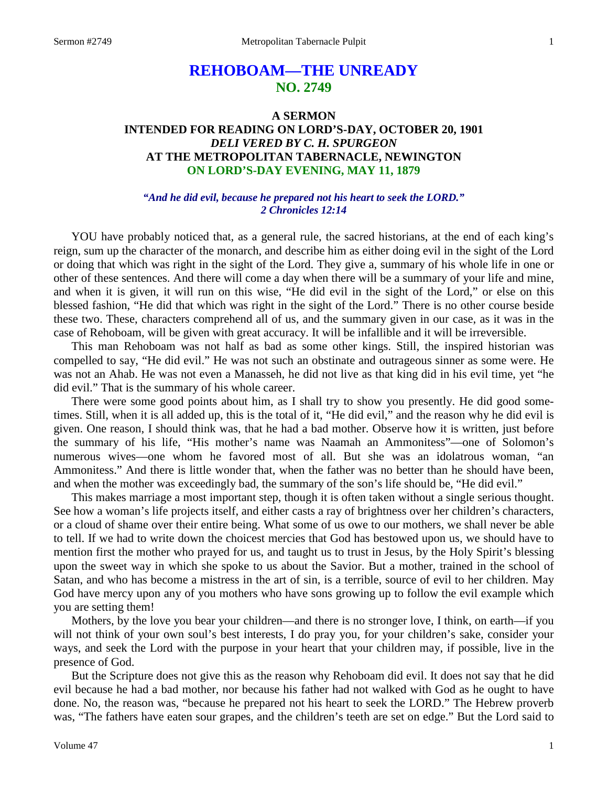## **REHOBOAM—THE UNREADY NO. 2749**

## **A SERMON INTENDED FOR READING ON LORD'S-DAY, OCTOBER 20, 1901** *DELI VERED BY C. H. SPURGEON* **AT THE METROPOLITAN TABERNACLE, NEWINGTON ON LORD'S-DAY EVENING, MAY 11, 1879**

## *"And he did evil, because he prepared not his heart to seek the LORD." 2 Chronicles 12:14*

YOU have probably noticed that, as a general rule, the sacred historians, at the end of each king's reign, sum up the character of the monarch, and describe him as either doing evil in the sight of the Lord or doing that which was right in the sight of the Lord. They give a, summary of his whole life in one or other of these sentences. And there will come a day when there will be a summary of your life and mine, and when it is given, it will run on this wise, "He did evil in the sight of the Lord," or else on this blessed fashion, "He did that which was right in the sight of the Lord." There is no other course beside these two. These, characters comprehend all of us, and the summary given in our case, as it was in the case of Rehoboam, will be given with great accuracy. It will be infallible and it will be irreversible.

This man Rehoboam was not half as bad as some other kings. Still, the inspired historian was compelled to say, "He did evil." He was not such an obstinate and outrageous sinner as some were. He was not an Ahab. He was not even a Manasseh, he did not live as that king did in his evil time, yet "he did evil." That is the summary of his whole career.

There were some good points about him, as I shall try to show you presently. He did good sometimes. Still, when it is all added up, this is the total of it, "He did evil," and the reason why he did evil is given. One reason, I should think was, that he had a bad mother. Observe how it is written, just before the summary of his life, "His mother's name was Naamah an Ammonitess"—one of Solomon's numerous wives—one whom he favored most of all. But she was an idolatrous woman, "an Ammonitess." And there is little wonder that, when the father was no better than he should have been, and when the mother was exceedingly bad, the summary of the son's life should be, "He did evil."

This makes marriage a most important step, though it is often taken without a single serious thought. See how a woman's life projects itself, and either casts a ray of brightness over her children's characters, or a cloud of shame over their entire being. What some of us owe to our mothers, we shall never be able to tell. If we had to write down the choicest mercies that God has bestowed upon us, we should have to mention first the mother who prayed for us, and taught us to trust in Jesus, by the Holy Spirit's blessing upon the sweet way in which she spoke to us about the Savior. But a mother, trained in the school of Satan, and who has become a mistress in the art of sin, is a terrible, source of evil to her children. May God have mercy upon any of you mothers who have sons growing up to follow the evil example which you are setting them!

Mothers, by the love you bear your children—and there is no stronger love, I think, on earth—if you will not think of your own soul's best interests, I do pray you, for your children's sake, consider your ways, and seek the Lord with the purpose in your heart that your children may, if possible, live in the presence of God.

But the Scripture does not give this as the reason why Rehoboam did evil. It does not say that he did evil because he had a bad mother, nor because his father had not walked with God as he ought to have done. No, the reason was, "because he prepared not his heart to seek the LORD." The Hebrew proverb was, "The fathers have eaten sour grapes, and the children's teeth are set on edge." But the Lord said to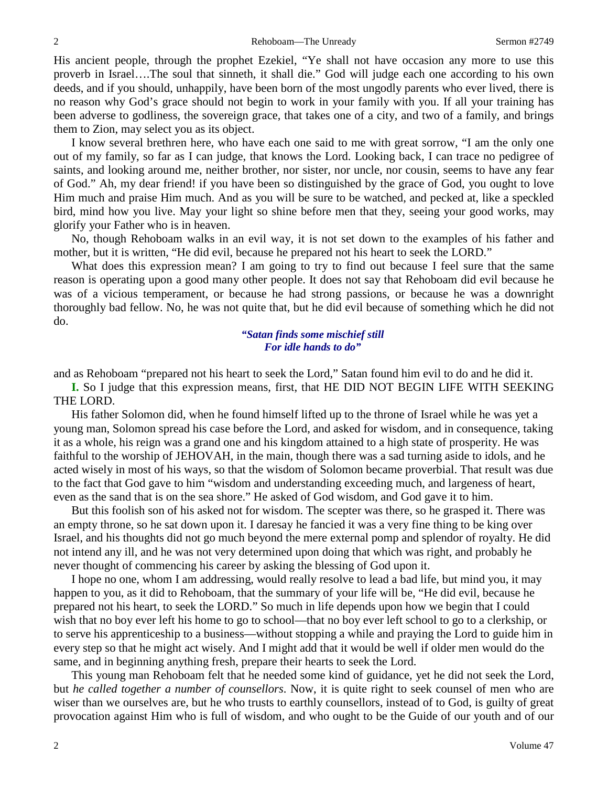His ancient people, through the prophet Ezekiel, "Ye shall not have occasion any more to use this proverb in Israel….The soul that sinneth, it shall die." God will judge each one according to his own deeds, and if you should, unhappily, have been born of the most ungodly parents who ever lived, there is no reason why God's grace should not begin to work in your family with you. If all your training has been adverse to godliness, the sovereign grace, that takes one of a city, and two of a family, and brings them to Zion, may select you as its object.

I know several brethren here, who have each one said to me with great sorrow, "I am the only one out of my family, so far as I can judge, that knows the Lord. Looking back, I can trace no pedigree of saints, and looking around me, neither brother, nor sister, nor uncle, nor cousin, seems to have any fear of God." Ah, my dear friend! if you have been so distinguished by the grace of God, you ought to love Him much and praise Him much. And as you will be sure to be watched, and pecked at, like a speckled bird, mind how you live. May your light so shine before men that they, seeing your good works, may glorify your Father who is in heaven.

No, though Rehoboam walks in an evil way, it is not set down to the examples of his father and mother, but it is written, "He did evil, because he prepared not his heart to seek the LORD."

What does this expression mean? I am going to try to find out because I feel sure that the same reason is operating upon a good many other people. It does not say that Rehoboam did evil because he was of a vicious temperament, or because he had strong passions, or because he was a downright thoroughly bad fellow. No, he was not quite that, but he did evil because of something which he did not do.

> *"Satan finds some mischief still For idle hands to do"*

and as Rehoboam "prepared not his heart to seek the Lord," Satan found him evil to do and he did it.

**I.** So I judge that this expression means, first, that HE DID NOT BEGIN LIFE WITH SEEKING THE LORD.

His father Solomon did, when he found himself lifted up to the throne of Israel while he was yet a young man, Solomon spread his case before the Lord, and asked for wisdom, and in consequence, taking it as a whole, his reign was a grand one and his kingdom attained to a high state of prosperity. He was faithful to the worship of JEHOVAH, in the main, though there was a sad turning aside to idols, and he acted wisely in most of his ways, so that the wisdom of Solomon became proverbial. That result was due to the fact that God gave to him "wisdom and understanding exceeding much, and largeness of heart, even as the sand that is on the sea shore." He asked of God wisdom, and God gave it to him.

But this foolish son of his asked not for wisdom. The scepter was there, so he grasped it. There was an empty throne, so he sat down upon it. I daresay he fancied it was a very fine thing to be king over Israel, and his thoughts did not go much beyond the mere external pomp and splendor of royalty. He did not intend any ill, and he was not very determined upon doing that which was right, and probably he never thought of commencing his career by asking the blessing of God upon it.

I hope no one, whom I am addressing, would really resolve to lead a bad life, but mind you, it may happen to you, as it did to Rehoboam, that the summary of your life will be, "He did evil, because he prepared not his heart, to seek the LORD." So much in life depends upon how we begin that I could wish that no boy ever left his home to go to school—that no boy ever left school to go to a clerkship, or to serve his apprenticeship to a business—without stopping a while and praying the Lord to guide him in every step so that he might act wisely. And I might add that it would be well if older men would do the same, and in beginning anything fresh, prepare their hearts to seek the Lord.

This young man Rehoboam felt that he needed some kind of guidance, yet he did not seek the Lord, but *he called together a number of counsellors*. Now, it is quite right to seek counsel of men who are wiser than we ourselves are, but he who trusts to earthly counsellors, instead of to God, is guilty of great provocation against Him who is full of wisdom, and who ought to be the Guide of our youth and of our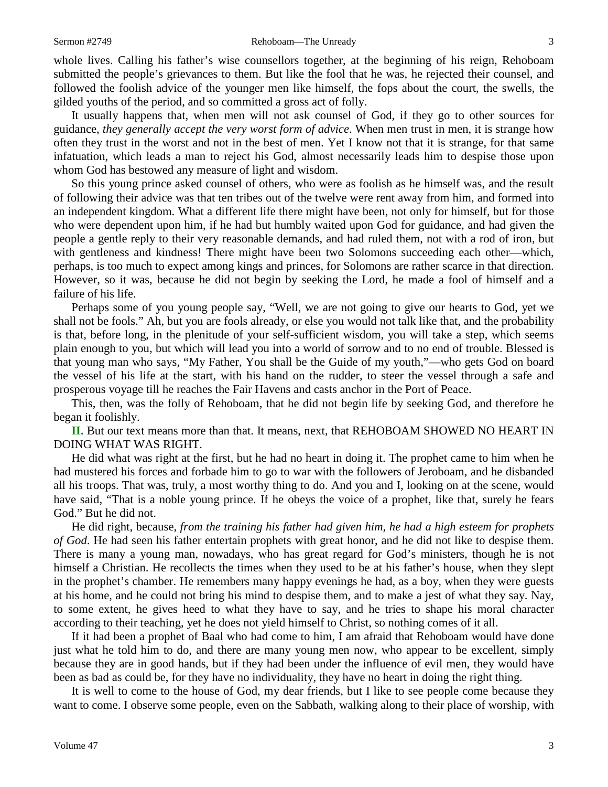whole lives. Calling his father's wise counsellors together, at the beginning of his reign, Rehoboam submitted the people's grievances to them. But like the fool that he was, he rejected their counsel, and followed the foolish advice of the younger men like himself, the fops about the court, the swells, the gilded youths of the period, and so committed a gross act of folly.

It usually happens that, when men will not ask counsel of God, if they go to other sources for guidance, *they generally accept the very worst form of advice*. When men trust in men, it is strange how often they trust in the worst and not in the best of men. Yet I know not that it is strange, for that same infatuation, which leads a man to reject his God, almost necessarily leads him to despise those upon whom God has bestowed any measure of light and wisdom.

So this young prince asked counsel of others, who were as foolish as he himself was, and the result of following their advice was that ten tribes out of the twelve were rent away from him, and formed into an independent kingdom. What a different life there might have been, not only for himself, but for those who were dependent upon him, if he had but humbly waited upon God for guidance, and had given the people a gentle reply to their very reasonable demands, and had ruled them, not with a rod of iron, but with gentleness and kindness! There might have been two Solomons succeeding each other—which, perhaps, is too much to expect among kings and princes, for Solomons are rather scarce in that direction. However, so it was, because he did not begin by seeking the Lord, he made a fool of himself and a failure of his life.

Perhaps some of you young people say, "Well, we are not going to give our hearts to God, yet we shall not be fools." Ah, but you are fools already, or else you would not talk like that, and the probability is that, before long, in the plenitude of your self-sufficient wisdom, you will take a step, which seems plain enough to you, but which will lead you into a world of sorrow and to no end of trouble. Blessed is that young man who says, "My Father, You shall be the Guide of my youth,"—who gets God on board the vessel of his life at the start, with his hand on the rudder, to steer the vessel through a safe and prosperous voyage till he reaches the Fair Havens and casts anchor in the Port of Peace.

This, then, was the folly of Rehoboam, that he did not begin life by seeking God, and therefore he began it foolishly.

**II.** But our text means more than that. It means, next, that REHOBOAM SHOWED NO HEART IN DOING WHAT WAS RIGHT.

He did what was right at the first, but he had no heart in doing it. The prophet came to him when he had mustered his forces and forbade him to go to war with the followers of Jeroboam, and he disbanded all his troops. That was, truly, a most worthy thing to do. And you and I, looking on at the scene, would have said, "That is a noble young prince. If he obeys the voice of a prophet, like that, surely he fears God." But he did not.

He did right, because, *from the training his father had given him, he had a high esteem for prophets of God*. He had seen his father entertain prophets with great honor, and he did not like to despise them. There is many a young man, nowadays, who has great regard for God's ministers, though he is not himself a Christian. He recollects the times when they used to be at his father's house, when they slept in the prophet's chamber. He remembers many happy evenings he had, as a boy, when they were guests at his home, and he could not bring his mind to despise them, and to make a jest of what they say. Nay, to some extent, he gives heed to what they have to say, and he tries to shape his moral character according to their teaching, yet he does not yield himself to Christ, so nothing comes of it all.

If it had been a prophet of Baal who had come to him, I am afraid that Rehoboam would have done just what he told him to do, and there are many young men now, who appear to be excellent, simply because they are in good hands, but if they had been under the influence of evil men, they would have been as bad as could be, for they have no individuality, they have no heart in doing the right thing.

It is well to come to the house of God, my dear friends, but I like to see people come because they want to come. I observe some people, even on the Sabbath, walking along to their place of worship, with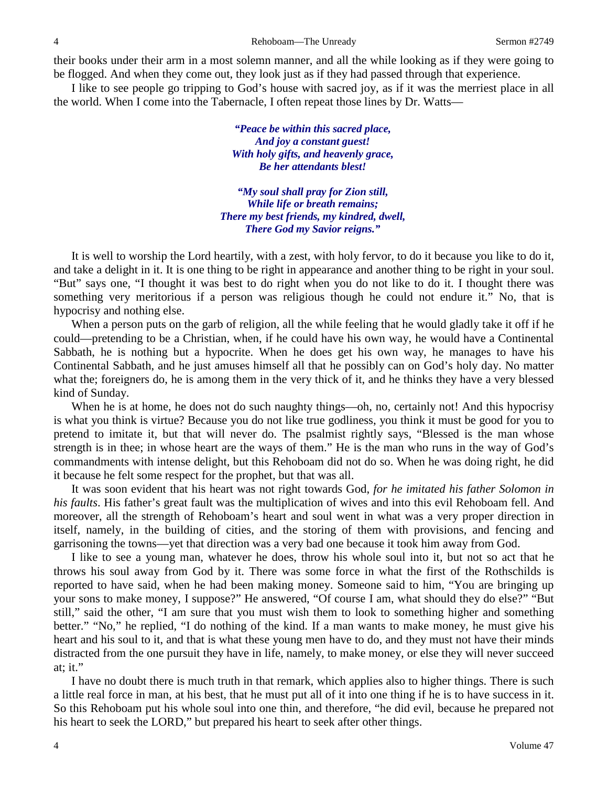their books under their arm in a most solemn manner, and all the while looking as if they were going to be flogged. And when they come out, they look just as if they had passed through that experience.

I like to see people go tripping to God's house with sacred joy, as if it was the merriest place in all the world. When I come into the Tabernacle, I often repeat those lines by Dr. Watts—

> *"Peace be within this sacred place, And joy a constant guest! With holy gifts, and heavenly grace, Be her attendants blest!*

*"My soul shall pray for Zion still, While life or breath remains; There my best friends, my kindred, dwell, There God my Savior reigns."*

It is well to worship the Lord heartily, with a zest, with holy fervor, to do it because you like to do it, and take a delight in it. It is one thing to be right in appearance and another thing to be right in your soul. "But" says one, "I thought it was best to do right when you do not like to do it. I thought there was something very meritorious if a person was religious though he could not endure it." No, that is hypocrisy and nothing else.

When a person puts on the garb of religion, all the while feeling that he would gladly take it off if he could—pretending to be a Christian, when, if he could have his own way, he would have a Continental Sabbath, he is nothing but a hypocrite. When he does get his own way, he manages to have his Continental Sabbath, and he just amuses himself all that he possibly can on God's holy day. No matter what the; foreigners do, he is among them in the very thick of it, and he thinks they have a very blessed kind of Sunday.

When he is at home, he does not do such naughty things—oh, no, certainly not! And this hypocrisy is what you think is virtue? Because you do not like true godliness, you think it must be good for you to pretend to imitate it, but that will never do. The psalmist rightly says, "Blessed is the man whose strength is in thee; in whose heart are the ways of them." He is the man who runs in the way of God's commandments with intense delight, but this Rehoboam did not do so. When he was doing right, he did it because he felt some respect for the prophet, but that was all.

It was soon evident that his heart was not right towards God, *for he imitated his father Solomon in his faults*. His father's great fault was the multiplication of wives and into this evil Rehoboam fell. And moreover, all the strength of Rehoboam's heart and soul went in what was a very proper direction in itself, namely, in the building of cities, and the storing of them with provisions, and fencing and garrisoning the towns—yet that direction was a very bad one because it took him away from God.

I like to see a young man, whatever he does, throw his whole soul into it, but not so act that he throws his soul away from God by it. There was some force in what the first of the Rothschilds is reported to have said, when he had been making money. Someone said to him, "You are bringing up your sons to make money, I suppose?" He answered, "Of course I am, what should they do else?" "But still," said the other, "I am sure that you must wish them to look to something higher and something better." "No," he replied, "I do nothing of the kind. If a man wants to make money, he must give his heart and his soul to it, and that is what these young men have to do, and they must not have their minds distracted from the one pursuit they have in life, namely, to make money, or else they will never succeed at; it."

I have no doubt there is much truth in that remark, which applies also to higher things. There is such a little real force in man, at his best, that he must put all of it into one thing if he is to have success in it. So this Rehoboam put his whole soul into one thin, and therefore, "he did evil, because he prepared not his heart to seek the LORD," but prepared his heart to seek after other things.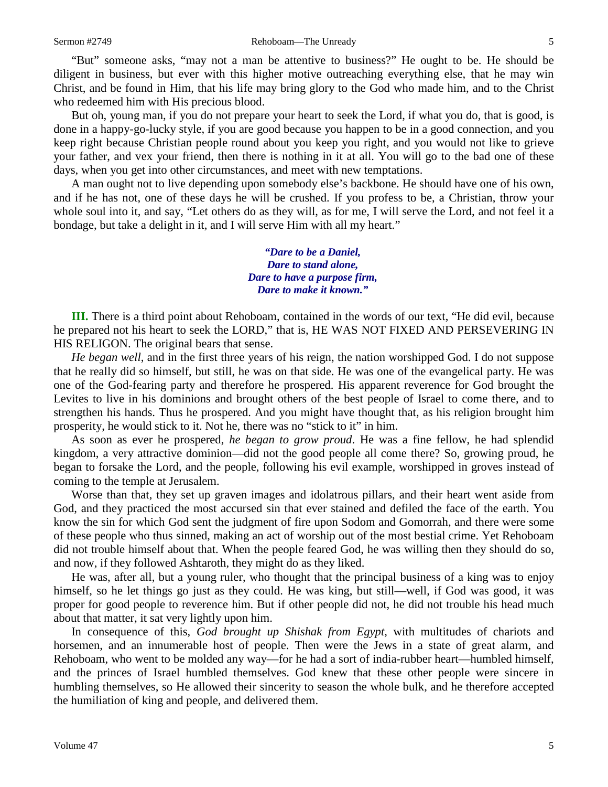"But" someone asks, "may not a man be attentive to business?" He ought to be. He should be diligent in business, but ever with this higher motive outreaching everything else, that he may win Christ, and be found in Him, that his life may bring glory to the God who made him, and to the Christ who redeemed him with His precious blood.

But oh, young man, if you do not prepare your heart to seek the Lord, if what you do, that is good, is done in a happy-go-lucky style, if you are good because you happen to be in a good connection, and you keep right because Christian people round about you keep you right, and you would not like to grieve your father, and vex your friend, then there is nothing in it at all. You will go to the bad one of these days, when you get into other circumstances, and meet with new temptations.

A man ought not to live depending upon somebody else's backbone. He should have one of his own, and if he has not, one of these days he will be crushed. If you profess to be, a Christian, throw your whole soul into it, and say, "Let others do as they will, as for me, I will serve the Lord, and not feel it a bondage, but take a delight in it, and I will serve Him with all my heart."

> *"Dare to be a Daniel, Dare to stand alone, Dare to have a purpose firm, Dare to make it known."*

**III.** There is a third point about Rehoboam, contained in the words of our text, "He did evil, because he prepared not his heart to seek the LORD," that is, HE WAS NOT FIXED AND PERSEVERING IN HIS RELIGON. The original bears that sense.

*He began well*, and in the first three years of his reign, the nation worshipped God. I do not suppose that he really did so himself, but still, he was on that side. He was one of the evangelical party. He was one of the God-fearing party and therefore he prospered. His apparent reverence for God brought the Levites to live in his dominions and brought others of the best people of Israel to come there, and to strengthen his hands. Thus he prospered. And you might have thought that, as his religion brought him prosperity, he would stick to it. Not he, there was no "stick to it" in him.

As soon as ever he prospered, *he began to grow proud*. He was a fine fellow, he had splendid kingdom, a very attractive dominion—did not the good people all come there? So, growing proud, he began to forsake the Lord, and the people, following his evil example, worshipped in groves instead of coming to the temple at Jerusalem.

Worse than that, they set up graven images and idolatrous pillars, and their heart went aside from God, and they practiced the most accursed sin that ever stained and defiled the face of the earth. You know the sin for which God sent the judgment of fire upon Sodom and Gomorrah, and there were some of these people who thus sinned, making an act of worship out of the most bestial crime. Yet Rehoboam did not trouble himself about that. When the people feared God, he was willing then they should do so, and now, if they followed Ashtaroth, they might do as they liked.

He was, after all, but a young ruler, who thought that the principal business of a king was to enjoy himself, so he let things go just as they could. He was king, but still—well, if God was good, it was proper for good people to reverence him. But if other people did not, he did not trouble his head much about that matter, it sat very lightly upon him.

In consequence of this, *God brought up Shishak from Egypt*, with multitudes of chariots and horsemen, and an innumerable host of people. Then were the Jews in a state of great alarm, and Rehoboam, who went to be molded any way—for he had a sort of india-rubber heart—humbled himself, and the princes of Israel humbled themselves. God knew that these other people were sincere in humbling themselves, so He allowed their sincerity to season the whole bulk, and he therefore accepted the humiliation of king and people, and delivered them.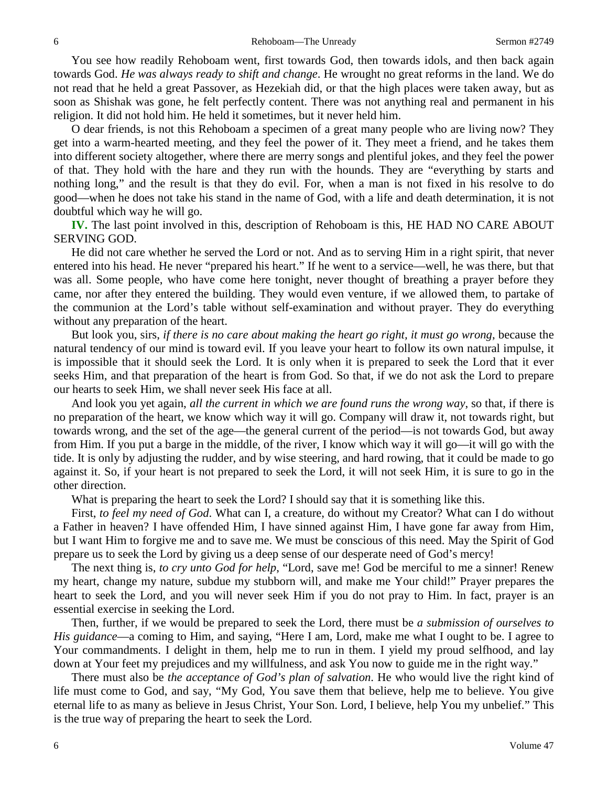You see how readily Rehoboam went, first towards God, then towards idols, and then back again towards God. *He was always ready to shift and change*. He wrought no great reforms in the land. We do not read that he held a great Passover, as Hezekiah did, or that the high places were taken away, but as soon as Shishak was gone, he felt perfectly content. There was not anything real and permanent in his religion. It did not hold him. He held it sometimes, but it never held him.

O dear friends, is not this Rehoboam a specimen of a great many people who are living now? They get into a warm-hearted meeting, and they feel the power of it. They meet a friend, and he takes them into different society altogether, where there are merry songs and plentiful jokes, and they feel the power of that. They hold with the hare and they run with the hounds. They are "everything by starts and nothing long," and the result is that they do evil. For, when a man is not fixed in his resolve to do good—when he does not take his stand in the name of God, with a life and death determination, it is not doubtful which way he will go.

**IV.** The last point involved in this, description of Rehoboam is this, HE HAD NO CARE ABOUT SERVING GOD.

He did not care whether he served the Lord or not. And as to serving Him in a right spirit, that never entered into his head. He never "prepared his heart." If he went to a service—well, he was there, but that was all. Some people, who have come here tonight, never thought of breathing a prayer before they came, nor after they entered the building. They would even venture, if we allowed them, to partake of the communion at the Lord's table without self-examination and without prayer. They do everything without any preparation of the heart.

But look you, sirs, *if there is no care about making the heart go right, it must go wrong*, because the natural tendency of our mind is toward evil. If you leave your heart to follow its own natural impulse, it is impossible that it should seek the Lord. It is only when it is prepared to seek the Lord that it ever seeks Him, and that preparation of the heart is from God. So that, if we do not ask the Lord to prepare our hearts to seek Him, we shall never seek His face at all.

And look you yet again, *all the current in which we are found runs the wrong way*, so that, if there is no preparation of the heart, we know which way it will go. Company will draw it, not towards right, but towards wrong, and the set of the age—the general current of the period—is not towards God, but away from Him. If you put a barge in the middle, of the river, I know which way it will go—it will go with the tide. It is only by adjusting the rudder, and by wise steering, and hard rowing, that it could be made to go against it. So, if your heart is not prepared to seek the Lord, it will not seek Him, it is sure to go in the other direction.

What is preparing the heart to seek the Lord? I should say that it is something like this.

First, *to feel my need of God*. What can I, a creature, do without my Creator? What can I do without a Father in heaven? I have offended Him, I have sinned against Him, I have gone far away from Him, but I want Him to forgive me and to save me. We must be conscious of this need. May the Spirit of God prepare us to seek the Lord by giving us a deep sense of our desperate need of God's mercy!

The next thing is, *to cry unto God for help*, "Lord, save me! God be merciful to me a sinner! Renew my heart, change my nature, subdue my stubborn will, and make me Your child!" Prayer prepares the heart to seek the Lord, and you will never seek Him if you do not pray to Him. In fact, prayer is an essential exercise in seeking the Lord.

Then, further, if we would be prepared to seek the Lord, there must be *a submission of ourselves to His guidance*—a coming to Him, and saying, "Here I am, Lord, make me what I ought to be. I agree to Your commandments. I delight in them, help me to run in them. I yield my proud selfhood, and lay down at Your feet my prejudices and my willfulness, and ask You now to guide me in the right way."

There must also be *the acceptance of God's plan of salvation*. He who would live the right kind of life must come to God, and say, "My God, You save them that believe, help me to believe. You give eternal life to as many as believe in Jesus Christ, Your Son. Lord, I believe, help You my unbelief." This is the true way of preparing the heart to seek the Lord.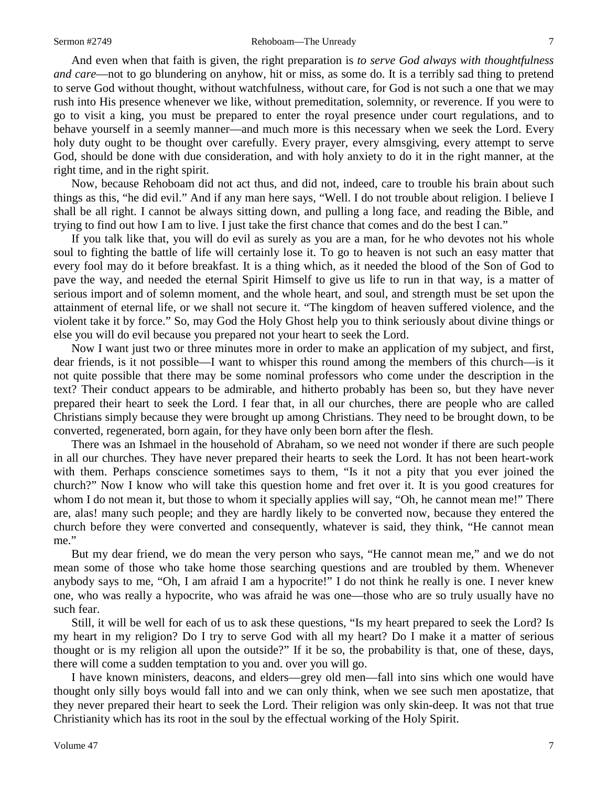And even when that faith is given, the right preparation is *to serve God always with thoughtfulness and care*—not to go blundering on anyhow, hit or miss, as some do. It is a terribly sad thing to pretend to serve God without thought, without watchfulness, without care, for God is not such a one that we may rush into His presence whenever we like, without premeditation, solemnity, or reverence. If you were to go to visit a king, you must be prepared to enter the royal presence under court regulations, and to behave yourself in a seemly manner—and much more is this necessary when we seek the Lord. Every holy duty ought to be thought over carefully. Every prayer, every almsgiving, every attempt to serve God, should be done with due consideration, and with holy anxiety to do it in the right manner, at the right time, and in the right spirit.

Now, because Rehoboam did not act thus, and did not, indeed, care to trouble his brain about such things as this, "he did evil." And if any man here says, "Well. I do not trouble about religion. I believe I shall be all right. I cannot be always sitting down, and pulling a long face, and reading the Bible, and trying to find out how I am to live. I just take the first chance that comes and do the best I can."

If you talk like that, you will do evil as surely as you are a man, for he who devotes not his whole soul to fighting the battle of life will certainly lose it. To go to heaven is not such an easy matter that every fool may do it before breakfast. It is a thing which, as it needed the blood of the Son of God to pave the way, and needed the eternal Spirit Himself to give us life to run in that way, is a matter of serious import and of solemn moment, and the whole heart, and soul, and strength must be set upon the attainment of eternal life, or we shall not secure it. "The kingdom of heaven suffered violence, and the violent take it by force." So, may God the Holy Ghost help you to think seriously about divine things or else you will do evil because you prepared not your heart to seek the Lord.

Now I want just two or three minutes more in order to make an application of my subject, and first, dear friends, is it not possible—I want to whisper this round among the members of this church—is it not quite possible that there may be some nominal professors who come under the description in the text? Their conduct appears to be admirable, and hitherto probably has been so, but they have never prepared their heart to seek the Lord. I fear that, in all our churches, there are people who are called Christians simply because they were brought up among Christians. They need to be brought down, to be converted, regenerated, born again, for they have only been born after the flesh.

There was an Ishmael in the household of Abraham, so we need not wonder if there are such people in all our churches. They have never prepared their hearts to seek the Lord. It has not been heart-work with them. Perhaps conscience sometimes says to them, "Is it not a pity that you ever joined the church?" Now I know who will take this question home and fret over it. It is you good creatures for whom I do not mean it, but those to whom it specially applies will say, "Oh, he cannot mean me!" There are, alas! many such people; and they are hardly likely to be converted now, because they entered the church before they were converted and consequently, whatever is said, they think, "He cannot mean me."

But my dear friend, we do mean the very person who says, "He cannot mean me," and we do not mean some of those who take home those searching questions and are troubled by them. Whenever anybody says to me, "Oh, I am afraid I am a hypocrite!" I do not think he really is one. I never knew one, who was really a hypocrite, who was afraid he was one—those who are so truly usually have no such fear.

Still, it will be well for each of us to ask these questions, "Is my heart prepared to seek the Lord? Is my heart in my religion? Do I try to serve God with all my heart? Do I make it a matter of serious thought or is my religion all upon the outside?" If it be so, the probability is that, one of these, days, there will come a sudden temptation to you and. over you will go.

I have known ministers, deacons, and elders—grey old men—fall into sins which one would have thought only silly boys would fall into and we can only think, when we see such men apostatize, that they never prepared their heart to seek the Lord. Their religion was only skin-deep. It was not that true Christianity which has its root in the soul by the effectual working of the Holy Spirit.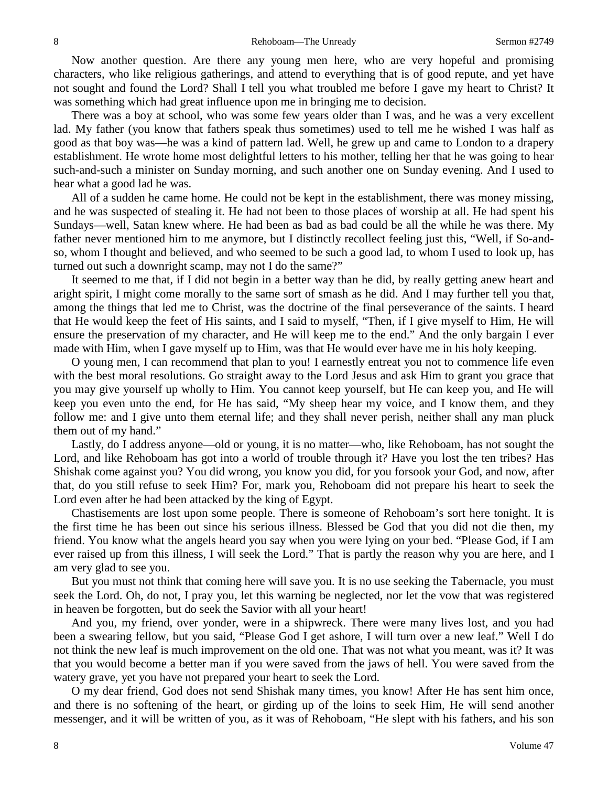Now another question. Are there any young men here, who are very hopeful and promising characters, who like religious gatherings, and attend to everything that is of good repute, and yet have not sought and found the Lord? Shall I tell you what troubled me before I gave my heart to Christ? It was something which had great influence upon me in bringing me to decision.

There was a boy at school, who was some few years older than I was, and he was a very excellent lad. My father (you know that fathers speak thus sometimes) used to tell me he wished I was half as good as that boy was—he was a kind of pattern lad. Well, he grew up and came to London to a drapery establishment. He wrote home most delightful letters to his mother, telling her that he was going to hear such-and-such a minister on Sunday morning, and such another one on Sunday evening. And I used to hear what a good lad he was.

All of a sudden he came home. He could not be kept in the establishment, there was money missing, and he was suspected of stealing it. He had not been to those places of worship at all. He had spent his Sundays—well, Satan knew where. He had been as bad as bad could be all the while he was there. My father never mentioned him to me anymore, but I distinctly recollect feeling just this, "Well, if So-andso, whom I thought and believed, and who seemed to be such a good lad, to whom I used to look up, has turned out such a downright scamp, may not I do the same?"

It seemed to me that, if I did not begin in a better way than he did, by really getting anew heart and aright spirit, I might come morally to the same sort of smash as he did. And I may further tell you that, among the things that led me to Christ, was the doctrine of the final perseverance of the saints. I heard that He would keep the feet of His saints, and I said to myself, "Then, if I give myself to Him, He will ensure the preservation of my character, and He will keep me to the end." And the only bargain I ever made with Him, when I gave myself up to Him, was that He would ever have me in his holy keeping.

O young men, I can recommend that plan to you! I earnestly entreat you not to commence life even with the best moral resolutions. Go straight away to the Lord Jesus and ask Him to grant you grace that you may give yourself up wholly to Him. You cannot keep yourself, but He can keep you, and He will keep you even unto the end, for He has said, "My sheep hear my voice, and I know them, and they follow me: and I give unto them eternal life; and they shall never perish, neither shall any man pluck them out of my hand."

Lastly, do I address anyone—old or young, it is no matter—who, like Rehoboam, has not sought the Lord, and like Rehoboam has got into a world of trouble through it? Have you lost the ten tribes? Has Shishak come against you? You did wrong, you know you did, for you forsook your God, and now, after that, do you still refuse to seek Him? For, mark you, Rehoboam did not prepare his heart to seek the Lord even after he had been attacked by the king of Egypt.

Chastisements are lost upon some people. There is someone of Rehoboam's sort here tonight. It is the first time he has been out since his serious illness. Blessed be God that you did not die then, my friend. You know what the angels heard you say when you were lying on your bed. "Please God, if I am ever raised up from this illness, I will seek the Lord." That is partly the reason why you are here, and I am very glad to see you.

But you must not think that coming here will save you. It is no use seeking the Tabernacle, you must seek the Lord. Oh, do not, I pray you, let this warning be neglected, nor let the vow that was registered in heaven be forgotten, but do seek the Savior with all your heart!

And you, my friend, over yonder, were in a shipwreck. There were many lives lost, and you had been a swearing fellow, but you said, "Please God I get ashore, I will turn over a new leaf." Well I do not think the new leaf is much improvement on the old one. That was not what you meant, was it? It was that you would become a better man if you were saved from the jaws of hell. You were saved from the watery grave, yet you have not prepared your heart to seek the Lord.

O my dear friend, God does not send Shishak many times, you know! After He has sent him once, and there is no softening of the heart, or girding up of the loins to seek Him, He will send another messenger, and it will be written of you, as it was of Rehoboam, "He slept with his fathers, and his son